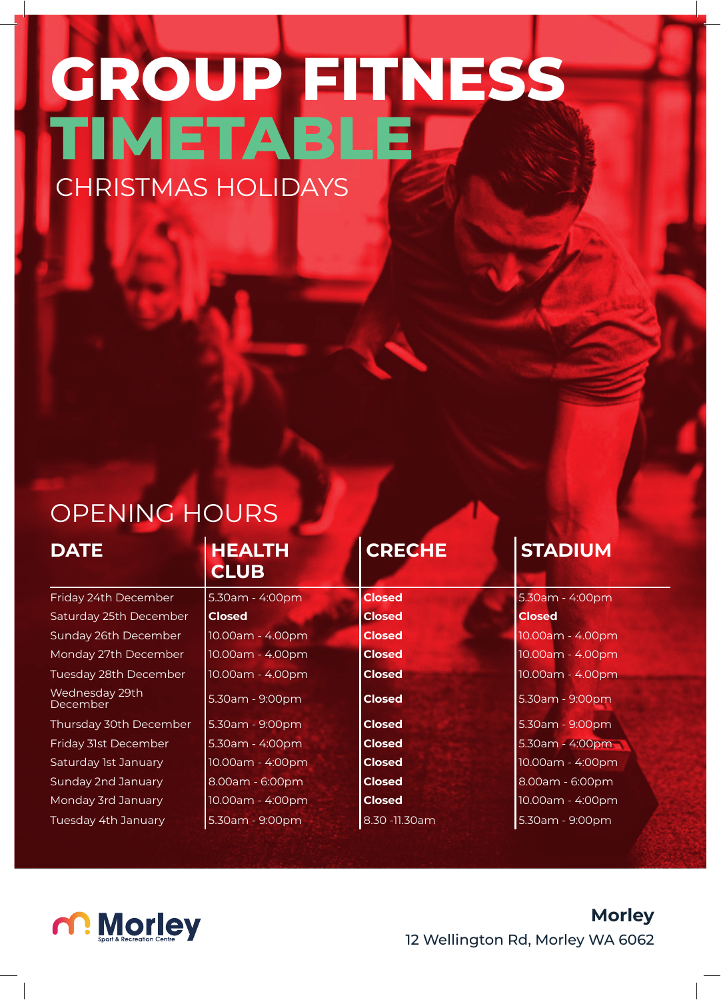## **GROUP FITNESS TIMETABLE** CHRISTMAS HOLIDAYS

## OPENING HOURS

## **DATE HEALTH CLUB**

| Friday 24th December              | 5.30am - 4:00pm  | <b>Closed</b> | $5.30$ am     |
|-----------------------------------|------------------|---------------|---------------|
| Saturday 25th December            | <b>Closed</b>    | <b>Closed</b> | <b>Closed</b> |
| Sunday 26th December              | 10.00am - 4.00pm | <b>Closed</b> | 10.00ar       |
| Monday 27th December              | 10.00am - 4.00pm | <b>Closed</b> | 10.00ar       |
| Tuesday 28th December             | 10.00am - 4.00pm | <b>Closed</b> | 10.00ar       |
| Wednesday 29th<br><b>December</b> | 5.30am - 9:00pm  | <b>Closed</b> | 5.30am        |
| Thursday 30th December            | 5.30am - 9:00pm  | <b>Closed</b> | 5.30am        |
| Friday 31st December              | 5.30am - 4:00pm  | <b>Closed</b> | $5.30$ am     |
| Saturday 1st January              | 10.00am - 4:00pm | <b>Closed</b> | 10.00ar       |
| Sunday 2nd January                | 8.00am - 6:00pm  | <b>Closed</b> | 8.00am        |
| Monday 3rd January                | 10.00am - 4:00pm | <b>Closed</b> | 10.00ar       |
| Tuesday 4th January               | 5.30am - 9:00pm  | 8.30 -11.30am | 5.30am        |

| <b>Closed</b>    |
|------------------|
| 10.00am - 4.00pm |
| 10.00am - 4.00pm |
| 10.00am - 4.00pm |
| 5.30am - 9:00pm  |
| 5.30am - 9:00pm  |
| 5.30am - 4:00pm  |
| 10.00am - 4:00pm |
| 8.00am - 6:00pm  |
| 10.00am - 4:00pm |
| 5.30am - 9:00pm  |
|                  |

| 5.30am - 4:00pm    | <b>Closed</b>  | 5.30am - 4:00pm  |
|--------------------|----------------|------------------|
| <b>Closed</b>      | <b>Closed</b>  | <b>Closed</b>    |
| 10.00am - 4.00pm   | <b>Closed</b>  | 10.00am - 4.00pm |
| 10.00am - 4.00pm   | <b>Closed</b>  | 10.00am - 4.00pm |
| 10.00am - 4.00pm   | <b>Closed</b>  | 10.00am - 4.00pm |
| 5.30am - 9:00pm    | <b>Closed</b>  | 5.30am - 9:00pm  |
| 5.30am - 9:00pm    | <b>Closed</b>  | 5.30am - 9:00pm  |
| $5.30$ am - 4:00pm | <b>Closed</b>  | 5.30am - 4:00pm  |
| 10.00am - 4:00pm   | <b>Closed</b>  | 10.00am - 4:00pm |
| 8.00am - 6:00pm    | <b>Closed</b>  | 8.00am - 6:00pm  |
| 10.00am - 4:00pm   | <b>Closed</b>  | 10.00am - 4:00pm |
| 5.30am - 9:00pm    | 8.30 - 11.30am | 5.30am - 9:00pm  |

## **CRECHE STADIUM**

10.00am - 4.00pm 10.00am - 4.00pm 10.00am - 4.00pm 5.30am - 9:00pm 5.30am - 9:00pm 5.30am - 4:00pm 10.00am - 4:00pm 8.00am - 6:00pm 10.00am - 4:00pm 5.30am - 9:00pm